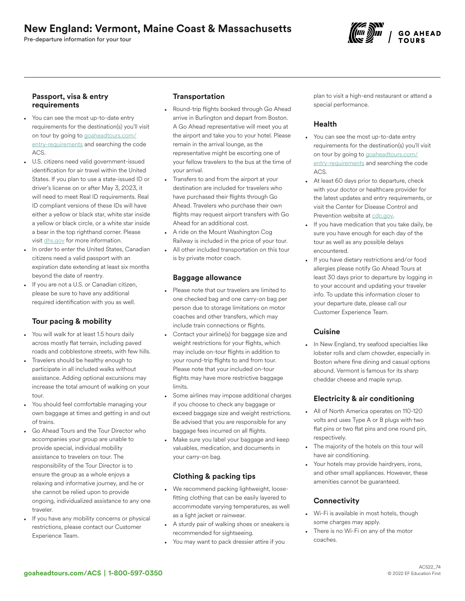# New England: Vermont, Maine Coast & Massachusetts

Pre-departure information for your tour

## Passport, visa & entry requirements

- You can see the most up-to-date entry requirements for the destination(s) you'll visit on tour by going to [goaheadtours.com/](/entry-requirements?tourCode=ACS) [entry-requirements](/entry-requirements?tourCode=ACS) and searching the code ACS.
- U.S. citizens need valid government-issued identification for air travel within the United States. If you plan to use a state-issued ID or driver's license on or after May 3, 2023, it will need to meet Real ID requirements. Real ID compliant versions of these IDs will have either a yellow or black star, white star inside a yellow or black circle, or a white star inside a bear in the top righthand corner. Please visit [dhs.gov](https://www.dhs.gov/real-id-frequently-asked-questions) for more information.
- In order to enter the United States, Canadian citizens need a valid passport with an expiration date extending at least six months beyond the date of reentry.
- If you are not a U.S. or Canadian citizen, please be sure to have any additional required identification with you as well.

# Tour pacing & mobility

- You will walk for at least 1.5 hours daily across mostly flat terrain, including paved roads and cobblestone streets, with few hills.
- Travelers should be healthy enough to participate in all included walks without assistance. Adding optional excursions may increase the total amount of walking on your tour.
- You should feel comfortable managing your own baggage at times and getting in and out of trains.
- Go Ahead Tours and the Tour Director who accompanies your group are unable to provide special, individual mobility assistance to travelers on tour. The responsibility of the Tour Director is to ensure the group as a whole enjoys a relaxing and informative journey, and he or she cannot be relied upon to provide ongoing, individualized assistance to any one traveler.
- If you have any mobility concerns or physical restrictions, please contact our Customer Experience Team.

## **Transportation**

- Round-trip flights booked through Go Ahead arrive in Burlington and depart from Boston. A Go Ahead representative will meet you at the airport and take you to your hotel. Please remain in the arrival lounge, as the representative might be escorting one of your fellow travelers to the bus at the time of your arrival.
- Transfers to and from the airport at your destination are included for travelers who have purchased their flights through Go Ahead. Travelers who purchase their own flights may request airport transfers with Go Ahead for an additional cost.
- A ride on the Mount Washington Cog Railway is included in the price of your tour.
- All other included transportation on this tour is by private motor coach.

## Baggage allowance

- Please note that our travelers are limited to one checked bag and one carry-on bag per person due to storage limitations on motor coaches and other transfers, which may include train connections or flights.
- Contact your airline(s) for baggage size and weight restrictions for your flights, which may include on-tour flights in addition to your round-trip flights to and from tour. Please note that your included on-tour flights may have more restrictive baggage limits.
- Some airlines may impose additional charges if you choose to check any baggage or exceed baggage size and weight restrictions. Be advised that you are responsible for any baggage fees incurred on all flights.
- Make sure you label your baggage and keep valuables, medication, and documents in your carry-on bag.

# Clothing & packing tips

- We recommend packing lightweight, loosefitting clothing that can be easily layered to accommodate varying temperatures, as well as a light jacket or rainwear.
- A sturdy pair of walking shoes or sneakers is recommended for sightseeing.
- You may want to pack dressier attire if you

plan to visit a high-end restaurant or attend a special performance.

## Health

- You can see the most up-to-date entry requirements for the destination(s) you'll visit on tour by going to [goaheadtours.com/](/entry-requirements?tourCode=ACS) [entry-requirements](/entry-requirements?tourCode=ACS) and searching the code ACS.
- At least 60 days prior to departure, check with your doctor or healthcare provider for the latest updates and entry requirements, or visit the Center for Disease Control and Prevention website at [cdc.gov.](https://www.cdc.gov/)
- If you have medication that you take daily, be sure you have enough for each day of the tour as well as any possible delays encountered.
- If you have dietary restrictions and/or food allergies please notify Go Ahead Tours at least 30 days prior to departure by logging in to your account and updating your traveler info. To update this information closer to your departure date, please call our Customer Experience Team.

## **Cuisine**

• In New England, try seafood specialties like lobster rolls and clam chowder, especially in Boston where fine dining and casual options abound. Vermont is famous for its sharp cheddar cheese and maple syrup.

# Electricity & air conditioning

- All of North America operates on 110-120 volts and uses Type A or B plugs with two flat pins or two flat pins and one round pin, respectively.
- The majority of the hotels on this tour will have air conditioning.
- Your hotels may provide hairdryers, irons, and other small appliances. However, these amenities cannot be guaranteed.

# **Connectivity**

- Wi-Fi is available in most hotels, though some charges may apply.
- There is no Wi-Fi on any of the motor coaches.